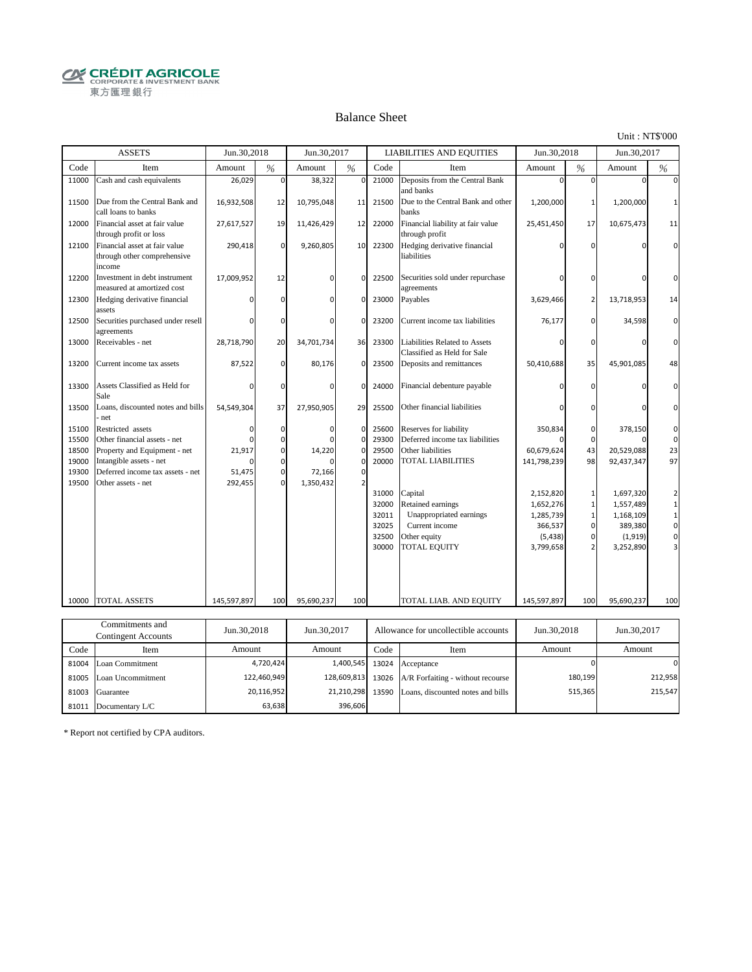**CRÉDIT AGRICOLE** 東方匯理銀行

#### Balance Sheet

Unit : NT\$'000

515,365

215,547

|       | <b>ASSETS</b>                                                          | Jun.30,2018 |             | Jun.30,2017 |                   |       | <b>LIABILITIES AND EQUITIES</b>                              | Jun.30,2018 |                | Jun.30,2017 |              |
|-------|------------------------------------------------------------------------|-------------|-------------|-------------|-------------------|-------|--------------------------------------------------------------|-------------|----------------|-------------|--------------|
| Code  | Item                                                                   | Amount      | %           | Amount      | %                 | Code  | Item                                                         | Amount      | $\frac{0}{6}$  | Amount      | %            |
| 11000 | Cash and cash equivalents                                              | 26,029      | $\Omega$    | 38,322      | $\mathbf 0$       | 21000 | Deposits from the Central Bank<br>and banks                  | $\Omega$    | $\Omega$       | $\Omega$    | $\Omega$     |
| 11500 | Due from the Central Bank and<br>call loans to banks                   | 16,932,508  | 12          | 10,795,048  | 11                | 21500 | Due to the Central Bank and other<br>banks                   | 1,200,000   | $\mathbf{1}$   | 1,200,000   | $\mathbf{1}$ |
| 12000 | Financial asset at fair value<br>through profit or loss                | 27,617,527  | 19          | 11,426,429  | 12                | 22000 | Financial liability at fair value<br>through profit          | 25,451,450  | 17             | 10,675,473  | 11           |
| 12100 | Financial asset at fair value<br>through other comprehensive<br>income | 290,418     | $\mathbf 0$ | 9,260,805   | 10                | 22300 | Hedging derivative financial<br>liabilities                  | U           | $\Omega$       | $\cap$      | $\Omega$     |
| 12200 | Investment in debt instrument<br>measured at amortized cost            | 17,009,952  | 12          | $\Omega$    | 0                 | 22500 | Securities sold under repurchase<br>agreements               | 0           | 0              | $\Omega$    | $\Omega$     |
| 12300 | Hedging derivative financial<br>assets                                 |             | $\Omega$    | $\Omega$    | $\mathbf 0$       | 23000 | Payables                                                     | 3,629,466   | $\overline{2}$ | 13,718,953  | 14           |
| 12500 | Securities purchased under resell<br>agreements                        | ŋ           | $\Omega$    | $\Omega$    | $\Omega$          | 23200 | Current income tax liabilities                               | 76,177      | $\Omega$       | 34,598      | $\Omega$     |
| 13000 | Receivables - net                                                      | 28,718,790  | 20          | 34,701,734  | 36                | 23300 | Liabilities Related to Assets<br>Classified as Held for Sale | $\Omega$    | $\Omega$       | $\Omega$    | $\Omega$     |
| 13200 | Current income tax assets                                              | 87,522      | $\mathbf 0$ | 80,176      | 0                 | 23500 | Deposits and remittances                                     | 50,410,688  | 35             | 45,901,085  | 48           |
| 13300 | Assets Classified as Held for<br>Sale                                  | 0           | $\Omega$    | $\Omega$    | $\Omega$          | 24000 | Financial debenture payable                                  | n           | $\Omega$       | $\cap$      | $\Omega$     |
| 13500 | Loans, discounted notes and bills<br>net                               | 54,549,304  | 37          | 27,950,905  | 29                | 25500 | Other financial liabilities                                  | U           | $\Omega$       | $\Omega$    | $\Omega$     |
| 15100 | Restricted assets                                                      | 0           | $\mathbf 0$ | $\cap$      | $\mathbf 0$       | 25600 | Reserves for liability                                       | 350,834     | 0              | 378,150     | 0            |
| 15500 | Other financial assets - net                                           |             | $\Omega$    |             | $\Omega$          | 29300 | Deferred income tax liabilities                              |             | $\Omega$       |             | $\mathbf 0$  |
| 18500 | Property and Equipment - net                                           | 21,917      | $\mathbf 0$ | 14,220      | $\mathbf 0$       | 29500 | Other liabilities                                            | 60,679,624  | 43             | 20,529,088  | 23           |
| 19000 | Intangible assets - net                                                |             | $\Omega$    |             | $\Omega$          | 20000 | <b>TOTAL LIABILITIES</b>                                     | 141,798,239 | 98             | 92,437,347  | 97           |
| 19300 | Deferred income tax assets - net                                       | 51,475      | $\mathbf 0$ | 72,166      | $\mathbf 0$       |       |                                                              |             |                |             |              |
| 19500 | Other assets - net                                                     | 292,455     | $\Omega$    | 1,350,432   | $\overline{2}$    |       |                                                              |             |                |             |              |
|       |                                                                        |             |             |             |                   | 31000 | Capital                                                      | 2,152,820   | $\mathbf{1}$   | 1,697,320   | 2            |
|       |                                                                        |             |             |             |                   | 32000 | Retained earnings                                            | 1,652,276   | $\mathbf{1}$   | 1,557,489   | $\mathbf 1$  |
|       |                                                                        |             |             |             |                   | 32011 | Unappropriated earnings                                      | 1,285,739   | $\mathbf{1}$   | 1,168,109   | $\mathbf 1$  |
|       |                                                                        |             |             |             |                   | 32025 | Current income                                               | 366,537     | $\mathbf{0}$   | 389,380     | $\mathbf 0$  |
|       |                                                                        |             |             |             |                   | 32500 | Other equity                                                 | (5, 438)    | 0              | (1, 919)    | $\mathbf 0$  |
|       |                                                                        |             |             |             |                   | 30000 | <b>TOTAL EQUITY</b>                                          | 3,799,658   | $\overline{2}$ | 3,252,890   |              |
|       |                                                                        |             |             |             |                   |       |                                                              |             |                |             |              |
| 10000 | <b>TOTAL ASSETS</b>                                                    | 145,597,897 | 100         | 95,690,237  | 100               |       | TOTAL LIAB. AND EQUITY                                       | 145,597,897 | 100            | 95,690,237  | 100          |
|       |                                                                        |             |             |             |                   |       |                                                              |             |                |             |              |
|       | Commitments and<br><b>Contingent Accounts</b>                          | Jun.30,2018 |             | Jun.30,2017 |                   |       | Allowance for uncollectible accounts                         | Jun.30,2018 |                | Jun.30,2017 |              |
| Code  | Item                                                                   | Amount      |             | Amount      |                   | Code  | Item                                                         | Amount      |                | Amount      |              |
| 81004 | Loan Commitment                                                        |             | 4,720,424   |             | 1,400,545         | 13024 | Acceptance                                                   |             | $\Omega$       |             | $\Omega$     |
|       | 81005 Loan Uncommitment                                                |             | 122,460,949 |             | 128,609,813 13026 |       | A/R Forfaiting - without recourse                            |             | 180,199        |             | 212,958      |

81003 Guarantee 20,116,952 20,116,952 21,210,298 13590 Loans, discounted notes and bills

21,210,298 396,606

20,116,952 63,638

\* Report not certified by CPA auditors.

81011 Documentary L/C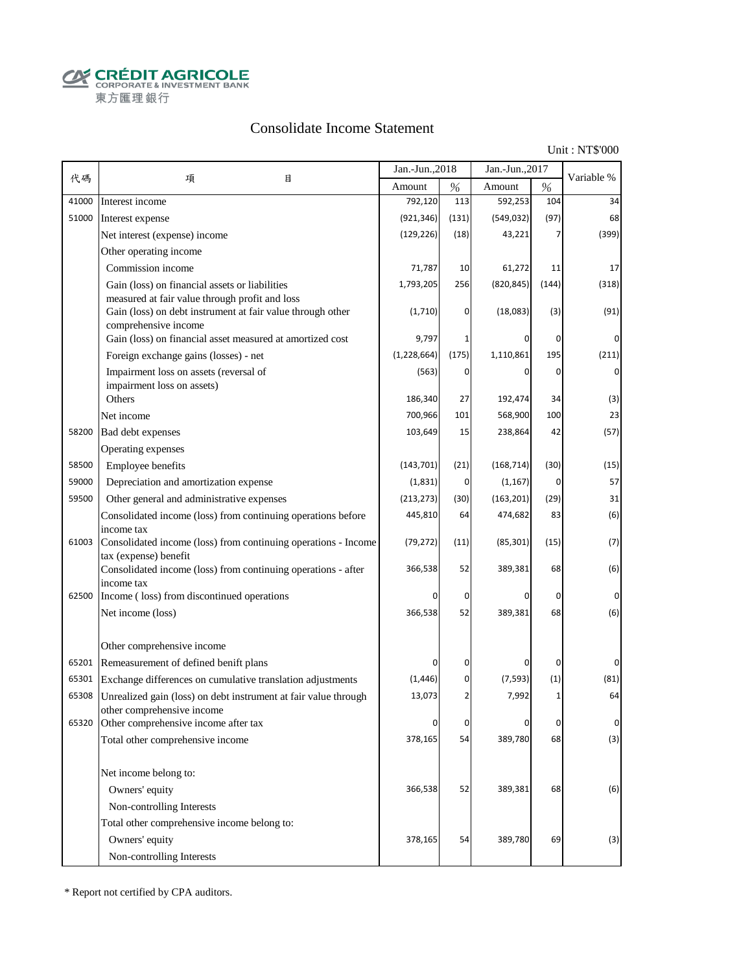**CALCOUT AGRICOLE**<br>
CORPORATE & INVESTMENT BANK<br>
東方匯理銀行

## Consolidate Income Statement

Unit : NT\$'000

|       |                                                                                         | Jan.-Jun., 2018 |           | Jan.-Jun., 2017 |       |             |
|-------|-----------------------------------------------------------------------------------------|-----------------|-----------|-----------------|-------|-------------|
| 代碼    | 項<br>目                                                                                  | Amount          | $\%$      | Amount          | $\%$  | Variable %  |
| 41000 | Interest income                                                                         | 792,120         | 113       | 592,253         | 104   | 34          |
| 51000 | Interest expense                                                                        | (921, 346)      | (131)     | (549, 032)      | (97)  | 68          |
|       | Net interest (expense) income                                                           | (129, 226)      | (18)      | 43,221          | 7     | (399)       |
|       | Other operating income                                                                  |                 |           |                 |       |             |
|       | Commission income                                                                       | 71,787          | 10        | 61,272          | 11    | 17          |
|       | Gain (loss) on financial assets or liabilities                                          | 1,793,205       | 256       | (820, 845)      | (144) | (318)       |
|       | measured at fair value through profit and loss                                          |                 |           |                 |       |             |
|       | Gain (loss) on debt instrument at fair value through other<br>comprehensive income      | (1,710)         | 0         | (18,083)        | (3)   | (91)        |
|       | Gain (loss) on financial asset measured at amortized cost                               | 9,797           |           |                 | 0     | 0           |
|       | Foreign exchange gains (losses) - net                                                   | (1, 228, 664)   | (175)     | 1,110,861       | 195   | (211)       |
|       | Impairment loss on assets (reversal of                                                  | (563)           | 0         |                 | 0     | $\mathbf 0$ |
|       | impairment loss on assets)                                                              |                 |           |                 |       |             |
|       | Others                                                                                  | 186,340         | 27        | 192,474         | 34    | (3)         |
|       | Net income                                                                              | 700,966         | 101       | 568,900         | 100   | 23          |
| 58200 | Bad debt expenses                                                                       | 103,649         | 15        | 238,864         | 42    | (57)        |
|       | Operating expenses                                                                      |                 |           |                 |       |             |
| 58500 | Employee benefits                                                                       | (143, 701)      | (21)      | (168, 714)      | (30)  | (15)        |
| 59000 | Depreciation and amortization expense                                                   | (1,831)         | $\pmb{0}$ | (1, 167)        | 0     | 57          |
| 59500 | Other general and administrative expenses                                               | (213, 273)      | (30)      | (163, 201)      | (29)  | 31          |
|       | Consolidated income (loss) from continuing operations before                            | 445,810         | 64        | 474,682         | 83    | (6)         |
|       | income tax                                                                              |                 |           |                 |       |             |
| 61003 | Consolidated income (loss) from continuing operations - Income<br>tax (expense) benefit | (79, 272)       | (11)      | (85, 301)       | (15)  | (7)         |
|       | Consolidated income (loss) from continuing operations - after                           | 366,538         | 52        | 389,381         | 68    | (6)         |
|       | income tax                                                                              |                 |           |                 |       |             |
| 62500 | Income (loss) from discontinued operations                                              |                 | 0         |                 | 0     | 0           |
|       | Net income (loss)                                                                       | 366,538         | 52        | 389,381         | 68    | (6)         |
|       |                                                                                         |                 |           |                 |       |             |
|       | Other comprehensive income                                                              |                 |           |                 |       |             |
| 65201 | Remeasurement of defined benift plans                                                   |                 | 0         |                 | 0     |             |
| 65301 | Exchange differences on cumulative translation adjustments                              | (1, 446)        | 0         | (7, 593)        | (1)   | (81)        |
| 65308 | Unrealized gain (loss) on debt instrument at fair value through                         | 13,073          | 2         | 7,992           | 1     | 64          |
| 65320 | other comprehensive income<br>Other comprehensive income after tax                      | 0               | $\pmb{0}$ | 0               | 0     | $\mathbf 0$ |
|       | Total other comprehensive income                                                        | 378,165         | 54        | 389,780         | 68    | (3)         |
|       |                                                                                         |                 |           |                 |       |             |
|       | Net income belong to:                                                                   |                 |           |                 |       |             |
|       | Owners' equity                                                                          | 366,538         | 52        | 389,381         | 68    | (6)         |
|       | Non-controlling Interests                                                               |                 |           |                 |       |             |
|       | Total other comprehensive income belong to:                                             |                 |           |                 |       |             |
|       | Owners' equity                                                                          | 378,165         | 54        | 389,780         | 69    | (3)         |
|       | Non-controlling Interests                                                               |                 |           |                 |       |             |
|       |                                                                                         |                 |           |                 |       |             |

\* Report not certified by CPA auditors.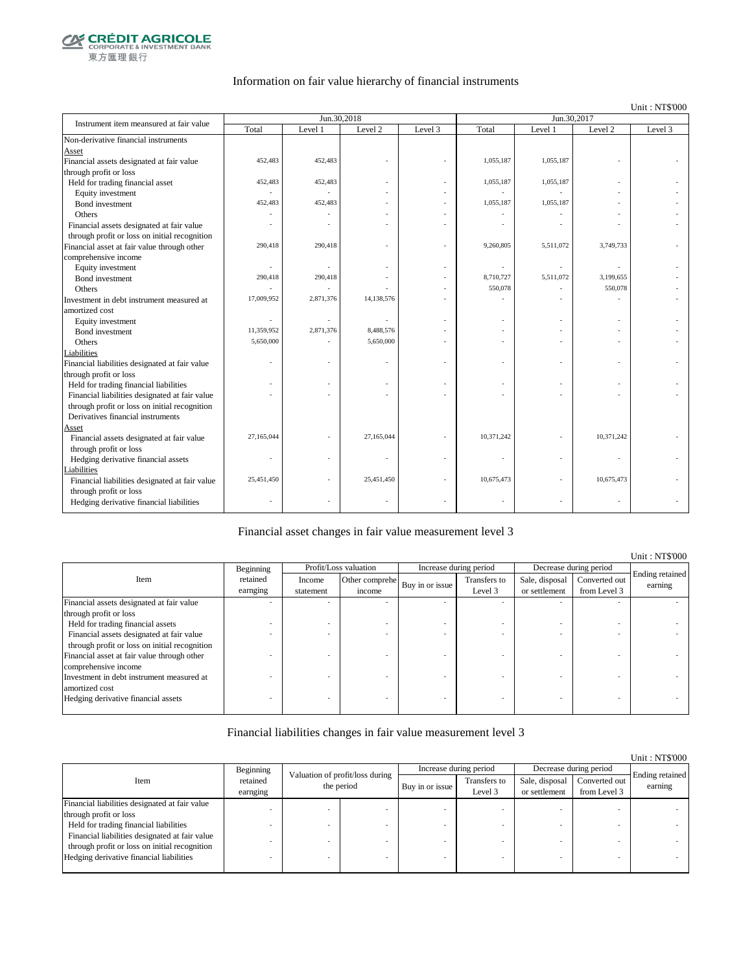

### Information on fair value hierarchy of financial instruments

Unit : NT\$'000

| Instrument item meansured at fair value        |            | Jun.30,2018 |            |         | Jun.30,2017 |           |            |         |  |
|------------------------------------------------|------------|-------------|------------|---------|-------------|-----------|------------|---------|--|
|                                                | Total      | Level 1     | Level 2    | Level 3 | Total       | Level 1   | Level 2    | Level 3 |  |
| Non-derivative financial instruments           |            |             |            |         |             |           |            |         |  |
| Asset                                          |            |             |            |         |             |           |            |         |  |
| Financial assets designated at fair value      | 452,483    | 452,483     |            |         | 1,055,187   | 1,055,187 |            |         |  |
| through profit or loss                         |            |             |            |         |             |           |            |         |  |
| Held for trading financial asset               | 452,483    | 452,483     |            |         | 1,055,187   | 1,055,187 |            |         |  |
| Equity investment                              |            |             |            |         |             |           |            |         |  |
| Bond investment                                | 452,483    | 452,483     |            |         | 1,055,187   | 1,055,187 |            |         |  |
| Others                                         |            |             |            |         |             |           |            |         |  |
| Financial assets designated at fair value      |            |             |            |         |             |           |            |         |  |
| through profit or loss on initial recognition  |            |             |            |         |             |           |            |         |  |
| Financial asset at fair value through other    | 290,418    | 290,418     |            |         | 9,260,805   | 5,511,072 | 3,749,733  |         |  |
| comprehensive income                           |            |             |            |         |             |           |            |         |  |
| Equity investment                              |            |             |            |         |             |           |            |         |  |
| Bond investment                                | 290,418    | 290,418     |            |         | 8,710,727   | 5,511,072 | 3,199,655  |         |  |
| Others                                         | ä,         |             |            |         | 550,078     |           | 550,078    |         |  |
| Investment in debt instrument measured at      | 17,009,952 | 2,871,376   | 14,138,576 |         |             |           |            |         |  |
| amortized cost                                 |            |             |            |         |             |           |            |         |  |
| Equity investment                              |            |             |            |         |             |           |            |         |  |
| Bond investment                                | 11,359,952 | 2,871,376   | 8,488,576  |         |             |           |            |         |  |
| Others                                         | 5,650,000  |             | 5,650,000  |         |             |           |            |         |  |
| Liabilities                                    |            |             |            |         |             |           |            |         |  |
| Financial liabilities designated at fair value |            |             |            |         |             | ٠         |            |         |  |
| through profit or loss                         |            |             |            |         |             |           |            |         |  |
| Held for trading financial liabilities         |            |             |            |         |             |           |            |         |  |
| Financial liabilities designated at fair value |            |             |            |         |             |           |            |         |  |
| through profit or loss on initial recognition  |            |             |            |         |             |           |            |         |  |
| Derivatives financial instruments              |            |             |            |         |             |           |            |         |  |
| Asset                                          |            |             |            |         |             |           |            |         |  |
| Financial assets designated at fair value      | 27,165,044 |             | 27,165,044 |         | 10,371,242  |           | 10,371,242 |         |  |
| through profit or loss                         |            |             |            |         |             |           |            |         |  |
| Hedging derivative financial assets            |            |             |            |         |             |           |            |         |  |
| <b>Liabilities</b>                             |            |             |            |         |             |           |            |         |  |
| Financial liabilities designated at fair value | 25,451,450 |             | 25,451,450 |         | 10,675,473  |           | 10,675,473 |         |  |
| through profit or loss                         |            |             |            |         |             |           |            |         |  |
| Hedging derivative financial liabilities       |            |             |            |         |             | ٠         |            |         |  |
|                                                |            |             |            |         |             |           |            |         |  |

#### Financial asset changes in fair value measurement level 3

|                                               |           |           |                       |                        |              |                |                        | Unit: NT\$'000             |
|-----------------------------------------------|-----------|-----------|-----------------------|------------------------|--------------|----------------|------------------------|----------------------------|
|                                               | Beginning |           | Profit/Loss valuation | Increase during period |              |                | Decrease during period |                            |
| Item                                          | retained  | Income    | Other comprehe        | Buy in or issue        | Transfers to | Sale, disposal | Converted out          | Ending retained<br>earning |
|                                               | earnging  | statement | income                |                        | Level 3      | or settlement  | from Level 3           |                            |
| Financial assets designated at fair value     |           |           |                       |                        |              |                |                        |                            |
| through profit or loss                        |           |           |                       |                        |              |                |                        |                            |
| Held for trading financial assets             |           |           |                       |                        |              |                |                        |                            |
| Financial assets designated at fair value     |           |           |                       |                        |              |                |                        |                            |
| through profit or loss on initial recognition |           |           |                       |                        |              |                |                        |                            |
| Financial asset at fair value through other   |           |           |                       |                        |              |                |                        |                            |
| comprehensive income                          |           |           |                       |                        |              |                |                        |                            |
| Investment in debt instrument measured at     |           |           |                       |                        |              |                |                        |                            |
| amortized cost                                |           |           |                       |                        |              |                |                        |                            |
| Hedging derivative financial assets           |           |           |                       |                        |              |                |                        |                            |
|                                               |           |           |                       |                        |              |                |                        |                            |

### Financial liabilities changes in fair value measurement level 3

|                                                                                           |           |                                               |  |                 |                         |                                 |                               | Unit: NT\$'000             |
|-------------------------------------------------------------------------------------------|-----------|-----------------------------------------------|--|-----------------|-------------------------|---------------------------------|-------------------------------|----------------------------|
|                                                                                           | Beginning |                                               |  |                 | Increase during period  | Decrease during period          |                               |                            |
| retained<br>Item<br>earnging                                                              |           | Valuation of profit/loss during<br>the period |  | Buy in or issue | Transfers to<br>Level 3 | Sale, disposal<br>or settlement | Converted out<br>from Level 3 | Ending retained<br>earning |
| Financial liabilities designated at fair value                                            |           |                                               |  |                 |                         |                                 |                               |                            |
| through profit or loss                                                                    |           |                                               |  |                 |                         |                                 |                               |                            |
| Held for trading financial liabilities                                                    |           |                                               |  |                 |                         |                                 |                               |                            |
| Financial liabilities designated at fair value                                            |           |                                               |  |                 |                         |                                 |                               |                            |
| through profit or loss on initial recognition<br>Hedging derivative financial liabilities |           |                                               |  |                 |                         |                                 |                               |                            |
|                                                                                           |           |                                               |  |                 |                         |                                 |                               |                            |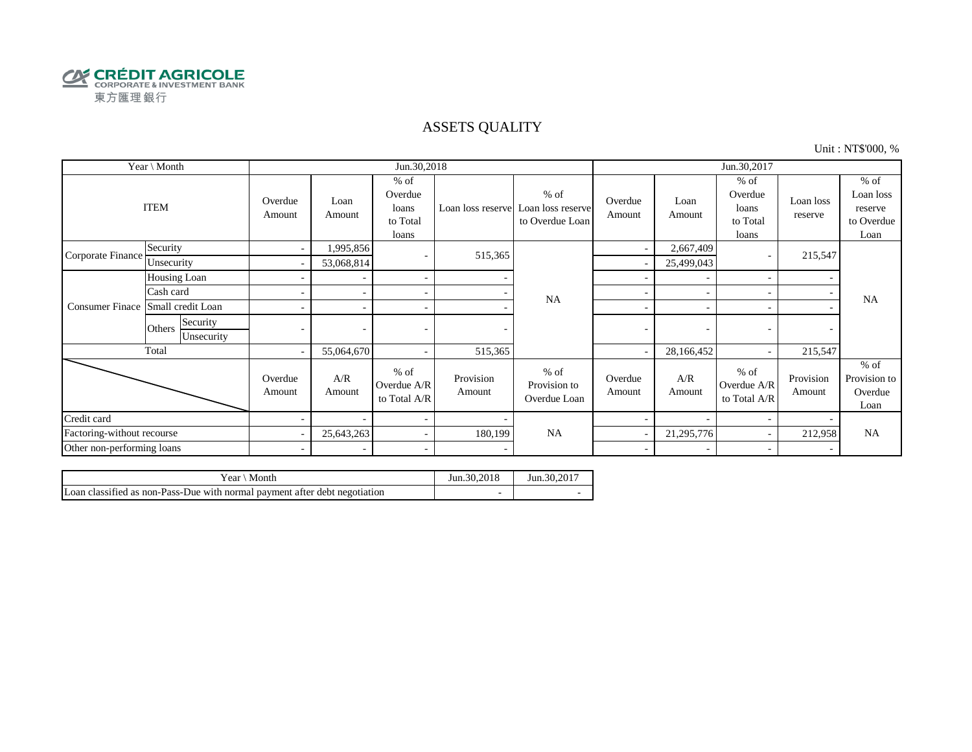

## ASSETS QUALITY

Unit : NT\$'000, %

| Year \ Month               |                                  |                          |                | Jun.30,2018                                     |                     |                                                                  | Jun.30,2017       |                |                                                 |                      |                                                      |
|----------------------------|----------------------------------|--------------------------|----------------|-------------------------------------------------|---------------------|------------------------------------------------------------------|-------------------|----------------|-------------------------------------------------|----------------------|------------------------------------------------------|
|                            | <b>ITEM</b>                      | Overdue<br>Amount        | Loan<br>Amount | $%$ of<br>Overdue<br>loans<br>to Total<br>loans |                     | $%$ of<br>Loan loss reserve Loan loss reserve<br>to Overdue Loan | Overdue<br>Amount | Loan<br>Amount | $%$ of<br>Overdue<br>loans<br>to Total<br>loans | Loan loss<br>reserve | $%$ of<br>Loan loss<br>reserve<br>to Overdue<br>Loan |
| Corporate Finance          | Security                         | $\sim$                   | 1,995,856      | $\overline{\phantom{a}}$                        | 515,365             |                                                                  | ٠                 | 2,667,409      |                                                 | 215,547              |                                                      |
|                            | Unsecurity                       |                          | 53,068,814     |                                                 |                     |                                                                  |                   | 25,499,043     |                                                 |                      |                                                      |
|                            | Housing Loan                     |                          |                | $\overline{\phantom{a}}$                        |                     |                                                                  |                   |                |                                                 |                      |                                                      |
|                            | Cash card                        |                          |                | $\sim$                                          |                     | <b>NA</b>                                                        | ÷                 |                |                                                 |                      | <b>NA</b>                                            |
| <b>Consumer Finace</b>     | Small credit Loan                |                          |                | $\sim$                                          |                     |                                                                  | ۰                 |                |                                                 |                      |                                                      |
|                            | Security<br>Others<br>Unsecurity |                          |                |                                                 |                     |                                                                  | -                 | ٠              |                                                 |                      |                                                      |
|                            | Total                            | $\overline{\phantom{a}}$ | 55,064,670     | $\sim$                                          | 515,365             |                                                                  |                   | 28,166,452     |                                                 | 215,547              |                                                      |
|                            |                                  | Overdue<br>Amount        | A/R<br>Amount  | $%$ of<br>Overdue A/R<br>to Total A/R           | Provision<br>Amount | $%$ of<br>Provision to<br>Overdue Loan                           | Overdue<br>Amount | A/R<br>Amount  | $%$ of<br>Overdue A/R<br>to Total A/R           | Provision<br>Amount  | $%$ of<br>Provision to<br>Overdue<br>Loan            |
| Credit card                |                                  |                          |                | $\overline{\phantom{a}}$                        |                     |                                                                  |                   |                |                                                 |                      |                                                      |
| Factoring-without recourse |                                  |                          | 25,643,263     | $\sim$                                          | 180,199             | <b>NA</b>                                                        |                   | 21,295,776     |                                                 | 212,958              | <b>NA</b>                                            |
| Other non-performing loans |                                  | $\sim$                   |                | $\sim$                                          |                     |                                                                  | $\sim$            |                |                                                 |                      |                                                      |

| Month<br>Year ∖                                                            | Jun.30.2018 | Jun.30.2017 |
|----------------------------------------------------------------------------|-------------|-------------|
| Loan classified as non-Pass-Due with normal payment after debt negotiation |             |             |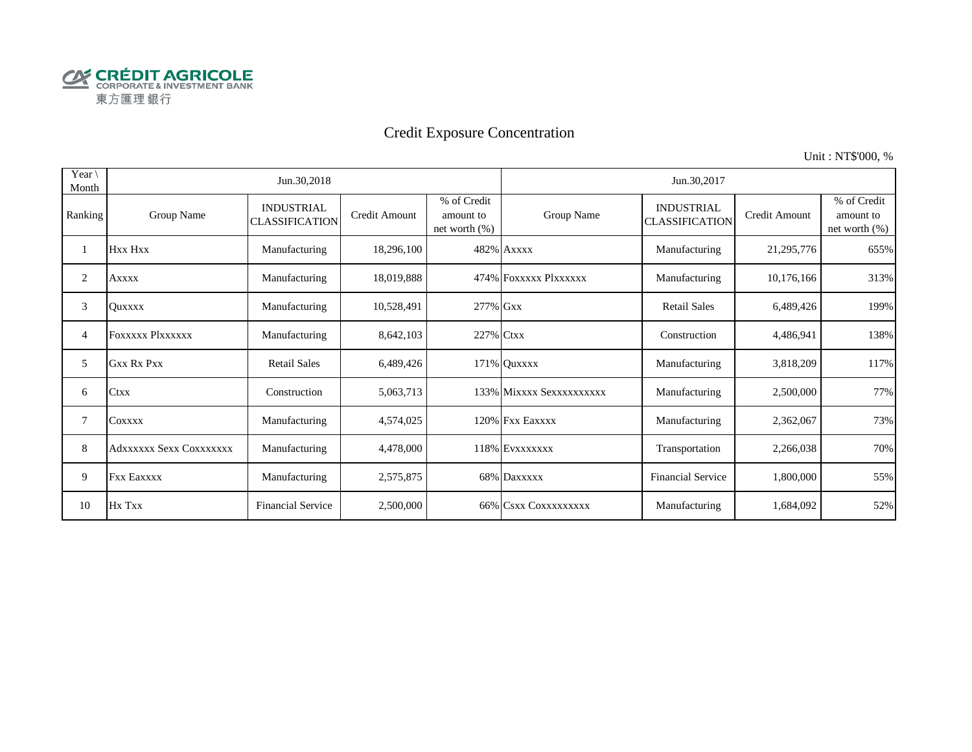

# Credit Exposure Concentration

Unit : NT\$'000, %

| Year $\setminus$<br>Month |                         | Jun.30,2018                                |               |                                              | Jun.30,2017              |                                            |               |                                              |  |  |
|---------------------------|-------------------------|--------------------------------------------|---------------|----------------------------------------------|--------------------------|--------------------------------------------|---------------|----------------------------------------------|--|--|
| Ranking                   | Group Name              | <b>INDUSTRIAL</b><br><b>CLASSIFICATION</b> | Credit Amount | % of Credit<br>amount to<br>net worth $(\%)$ | Group Name               | <b>INDUSTRIAL</b><br><b>CLASSIFICATION</b> | Credit Amount | % of Credit<br>amount to<br>net worth $(\%)$ |  |  |
|                           | Hxx Hxx                 | Manufacturing                              | 18,296,100    |                                              | 482% Axxxx               | Manufacturing                              | 21,295,776    | 655%                                         |  |  |
| 2                         | Axxxx                   | Manufacturing                              | 18,019,888    |                                              | 474% FOXXXXX PlXXXXXX    | Manufacturing                              | 10,176,166    | 313%                                         |  |  |
| 3                         | Ouxxxx                  | Manufacturing                              | 10,528,491    | 277% Gxx                                     |                          | <b>Retail Sales</b>                        | 6,489,426     | 199%                                         |  |  |
| 4                         | <b>FOXXXXX Plxxxxxx</b> | Manufacturing                              | 8,642,103     | 227% Ctxx                                    |                          | Construction                               | 4,486,941     | 138%                                         |  |  |
| 5                         | <b>Gxx Rx Pxx</b>       | <b>Retail Sales</b>                        | 6,489,426     |                                              | 171% Quxxxx              | Manufacturing                              | 3,818,209     | 117%                                         |  |  |
| 6                         | <b>Ctxx</b>             | Construction                               | 5,063,713     |                                              | 133% Mixxxx Sexxxxxxxxxx | Manufacturing                              | 2,500,000     | 77%                                          |  |  |
| 7                         | COXXXX                  | Manufacturing                              | 4,574,025     |                                              | 120% Fxx Eaxxxx          | Manufacturing                              | 2,362,067     | 73%                                          |  |  |
| 8                         | Adxxxxxx Sexx Coxxxxxxx | Manufacturing                              | 4,478,000     |                                              | 118% EVXXXXXXX           | Transportation                             | 2,266,038     | 70%                                          |  |  |
| 9                         | <b>Fxx Eaxxxx</b>       | Manufacturing                              | 2,575,875     |                                              | 68% Daxxxxx              | <b>Financial Service</b>                   | 1,800,000     | 55%                                          |  |  |
| 10                        | Hx Txx                  | <b>Financial Service</b>                   | 2,500,000     |                                              | 66% CSXX COXXXXXXXX      | Manufacturing                              | 1,684,092     | 52%                                          |  |  |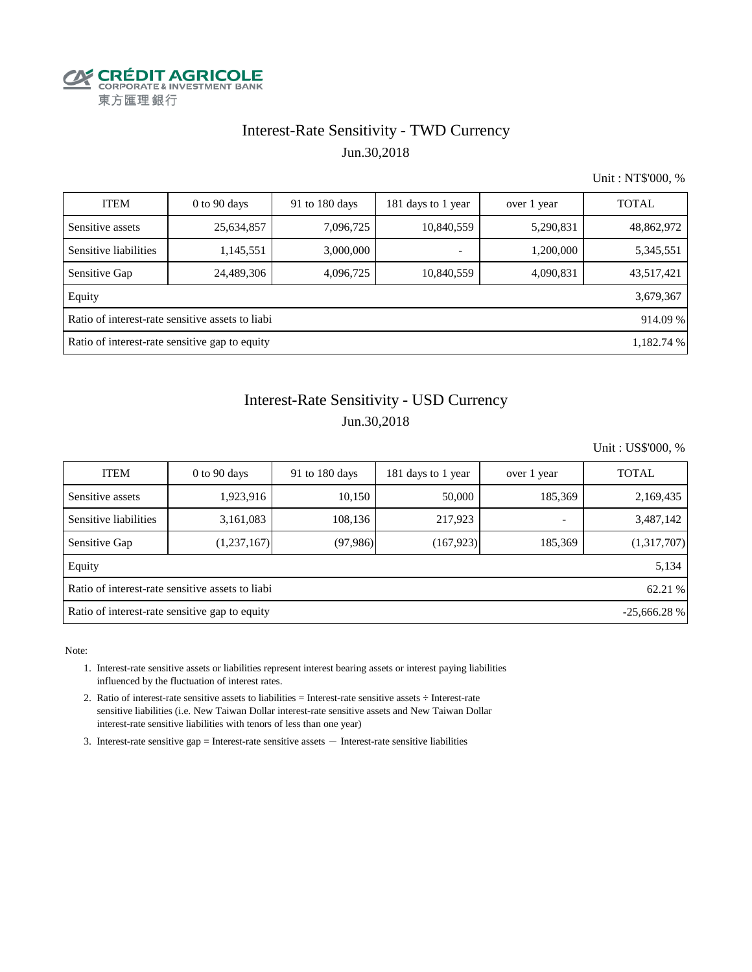

# Interest-Rate Sensitivity - TWD Currency Jun.30,2018

Unit : NT\$'000, %

| <b>ITEM</b>                                                  | $0$ to 90 days | 91 to $180$ days | 181 days to 1 year       | over 1 year | <b>TOTAL</b> |  |  |  |  |  |
|--------------------------------------------------------------|----------------|------------------|--------------------------|-------------|--------------|--|--|--|--|--|
| Sensitive assets                                             | 25,634,857     | 7,096,725        | 10,840,559               | 5,290,831   | 48,862,972   |  |  |  |  |  |
| Sensitive liabilities                                        | 1,145,551      | 3,000,000        | $\overline{\phantom{0}}$ | 1,200,000   | 5,345,551    |  |  |  |  |  |
| Sensitive Gap                                                | 24,489,306     | 4,096,725        | 10,840,559               | 4,090,831   | 43,517,421   |  |  |  |  |  |
| Equity                                                       |                |                  |                          |             | 3,679,367    |  |  |  |  |  |
| Ratio of interest-rate sensitive assets to liabi<br>914.09 % |                |                  |                          |             |              |  |  |  |  |  |
| Ratio of interest-rate sensitive gap to equity<br>1,182.74 % |                |                  |                          |             |              |  |  |  |  |  |

# Interest-Rate Sensitivity - USD Currency Jun.30,2018

Unit : US\$'000, %

| <b>ITEM</b>                                                     | $0$ to 90 days | 91 to 180 days | 181 days to 1 year | over 1 year              | <b>TOTAL</b> |  |  |  |  |  |
|-----------------------------------------------------------------|----------------|----------------|--------------------|--------------------------|--------------|--|--|--|--|--|
| Sensitive assets                                                | 1,923,916      | 10,150         | 50,000             | 185,369                  | 2,169,435    |  |  |  |  |  |
| Sensitive liabilities                                           | 3,161,083      | 108,136        | 217,923            | $\overline{\phantom{0}}$ | 3,487,142    |  |  |  |  |  |
| Sensitive Gap                                                   | (1,237,167)    | (97, 986)      | (167, 923)         | 185,369                  | (1,317,707)  |  |  |  |  |  |
| Equity                                                          |                |                |                    |                          | 5,134        |  |  |  |  |  |
| Ratio of interest-rate sensitive assets to liabi<br>62.21 %     |                |                |                    |                          |              |  |  |  |  |  |
| Ratio of interest-rate sensitive gap to equity<br>$-25,666.28%$ |                |                |                    |                          |              |  |  |  |  |  |

Note:

- 1. Interest-rate sensitive assets or liabilities represent interest bearing assets or interest paying liabilities influenced by the fluctuation of interest rates.
- 2. Ratio of interest-rate sensitive assets to liabilities = Interest-rate sensitive assets ÷ Interest-rate sensitive liabilities (i.e. New Taiwan Dollar interest-rate sensitive assets and New Taiwan Dollar interest-rate sensitive liabilities with tenors of less than one year)
- 3. Interest-rate sensitive gap = Interest-rate sensitive assets  $-$  Interest-rate sensitive liabilities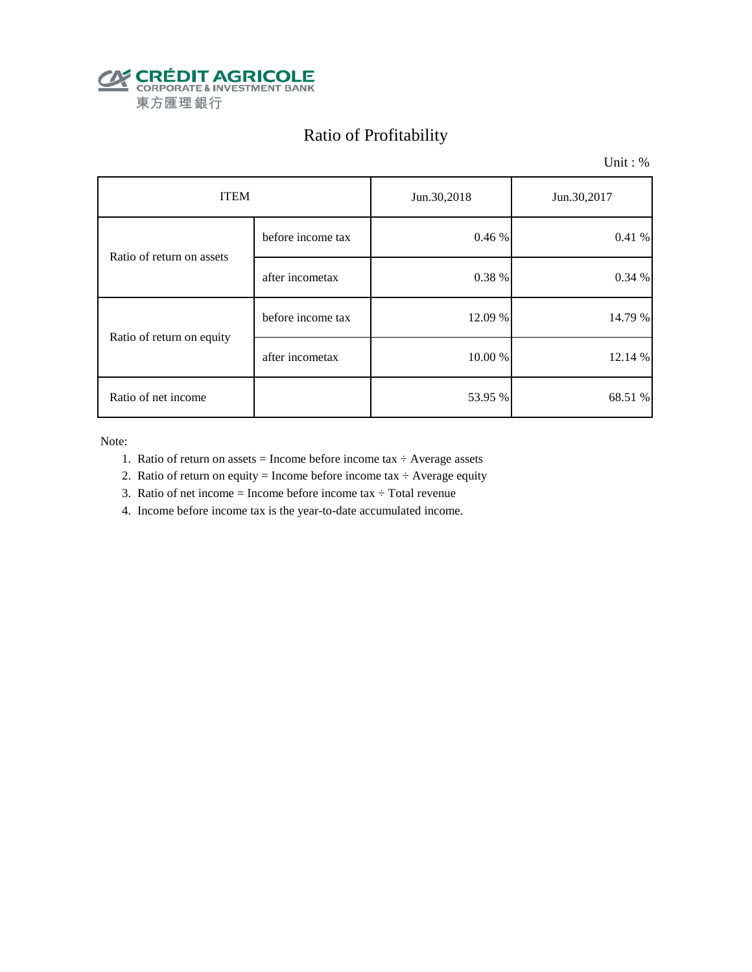

# Ratio of Profitability

Unit : %

| <b>ITEM</b>               |                   | Jun.30,2018 | Jun.30,2017 |  |
|---------------------------|-------------------|-------------|-------------|--|
| Ratio of return on assets | before income tax | 0.46 %      | 0.41%       |  |
|                           | after incometax   | 0.38 %      | 0.34 %      |  |
| Ratio of return on equity | before income tax | 12.09 %     | 14.79 %     |  |
|                           | after incometax   | 10.00 %     | 12.14 %     |  |
| Ratio of net income       |                   | 53.95 %     | 68.51 %     |  |

Note:

- 1. Ratio of return on assets = Income before income tax  $\div$  Average assets
- 2. Ratio of return on equity = Income before income tax  $\div$  Average equity
- 3. Ratio of net income = Income before income tax  $\div$  Total revenue
- 4. Income before income tax is the year-to-date accumulated income.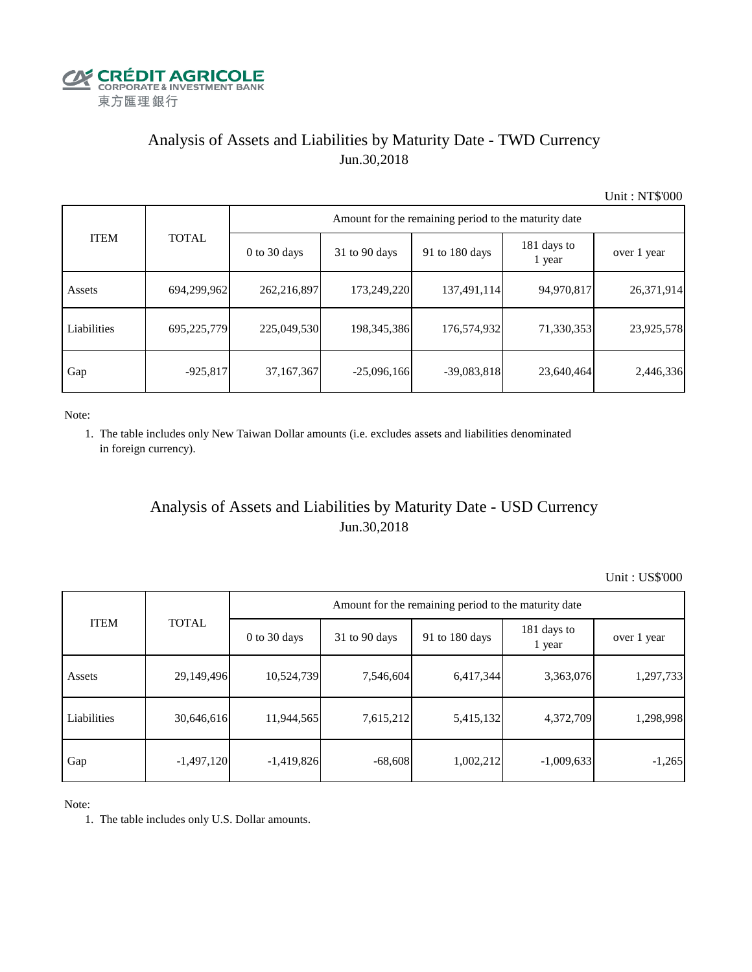

# Analysis of Assets and Liabilities by Maturity Date - TWD Currency Jun.30,2018

Unit : NT\$'000

|             |              | Amount for the remaining period to the maturity date |                 |                |                       |             |  |  |  |  |
|-------------|--------------|------------------------------------------------------|-----------------|----------------|-----------------------|-------------|--|--|--|--|
| <b>ITEM</b> | <b>TOTAL</b> | $0$ to 30 days                                       | $31$ to 90 days | 91 to 180 days | 181 days to<br>1 year | over 1 year |  |  |  |  |
| Assets      | 694,299,962  | 262,216,897                                          | 173,249,220     | 137,491,114    | 94,970,817            | 26,371,914  |  |  |  |  |
| Liabilities | 695,225,779  | 225,049,530                                          | 198, 345, 386   | 176,574,932    | 71,330,353            | 23,925,578  |  |  |  |  |
| Gap         | $-925,817$   | 37,167,367                                           | $-25,096,166$   | $-39,083,818$  | 23,640,464            | 2,446,336   |  |  |  |  |

Note:

 1. The table includes only New Taiwan Dollar amounts (i.e. excludes assets and liabilities denominated in foreign currency).

# Analysis of Assets and Liabilities by Maturity Date - USD Currency Jun.30,2018

Unit : US\$'000

| <b>ITEM</b> |              | Amount for the remaining period to the maturity date |                 |                |                       |             |  |
|-------------|--------------|------------------------------------------------------|-----------------|----------------|-----------------------|-------------|--|
|             | <b>TOTAL</b> | $0$ to 30 days                                       | $31$ to 90 days | 91 to 180 days | 181 days to<br>1 year | over 1 year |  |
| Assets      | 29,149,496   | 10,524,739                                           | 7,546,604       | 6,417,344      | 3,363,076             | 1,297,733   |  |
| Liabilities | 30,646,616   | 11,944,565                                           | 7,615,212       | 5,415,132      | 4,372,709             | 1,298,998   |  |
| Gap         | $-1,497,120$ | $-1,419,826$                                         | $-68,608$       | 1,002,212      | $-1,009,633$          | $-1,265$    |  |

Note:

1. The table includes only U.S. Dollar amounts.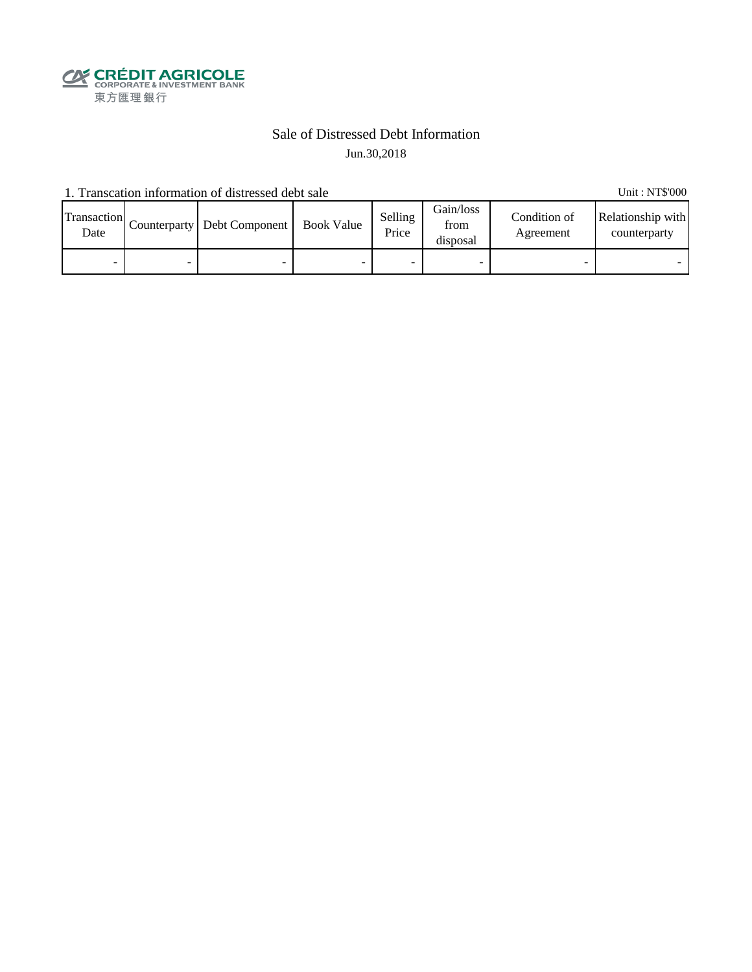

## Sale of Distressed Debt Information Jun.30,2018

1. Transcation information of distressed debt sale Unit: NT\$'000

Transaction  $\frac{\text{D}}{\text{Date}}$  Counterparty Debt Component Book Value Selling Price Gain/loss from disposal Condition of Agreement Relationship with counterparty - - - - - - - -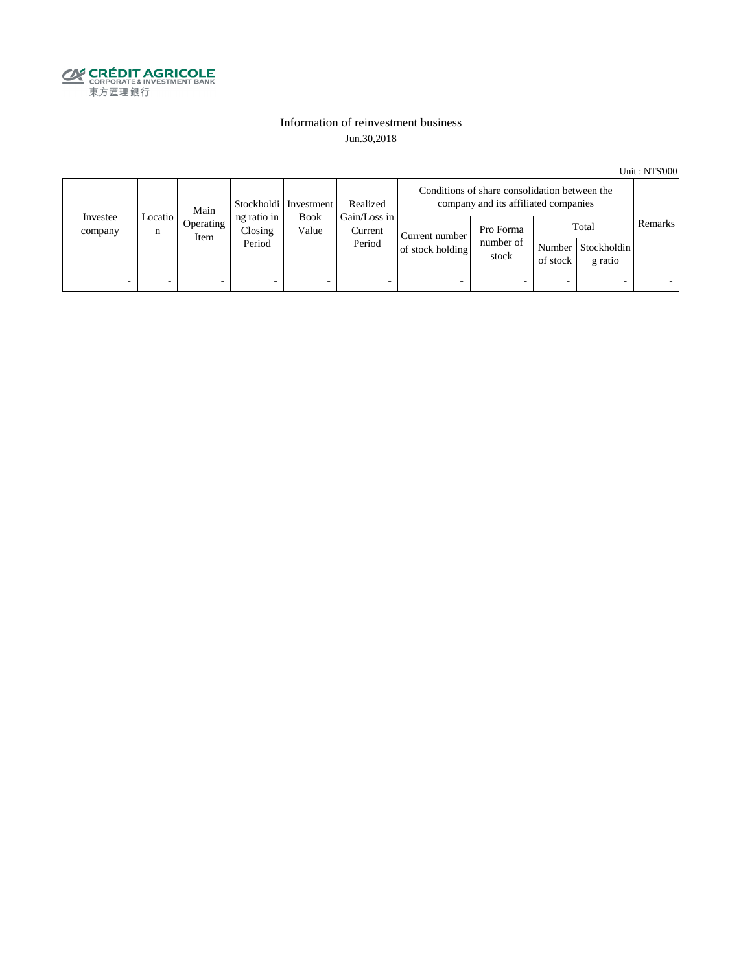

## Information of reinvestment business Jun.30,2018

Unit : NT\$'000

| Investee<br>company | Main<br>Locatio  <br>Operating<br>n<br>Item |                                  | Stockholdi   Investment                                   | Realized                           | Conditions of share consolidation between the<br>company and its affiliated companies |          |                                        |                          |  |  |
|---------------------|---------------------------------------------|----------------------------------|-----------------------------------------------------------|------------------------------------|---------------------------------------------------------------------------------------|----------|----------------------------------------|--------------------------|--|--|
|                     |                                             | ng ratio in<br>Closing<br>Period | Gain/Loss in<br><b>Book</b><br>Value<br>Current<br>Period | Current number<br>of stock holding | Pro Forma<br>number of<br>stock                                                       | of stock | Total<br>Number Stockholdin<br>g ratio | Remarks                  |  |  |
| -                   |                                             | -                                | $\overline{\phantom{0}}$                                  | -                                  | $\overline{\phantom{a}}$                                                              | -        |                                        | $\overline{\phantom{0}}$ |  |  |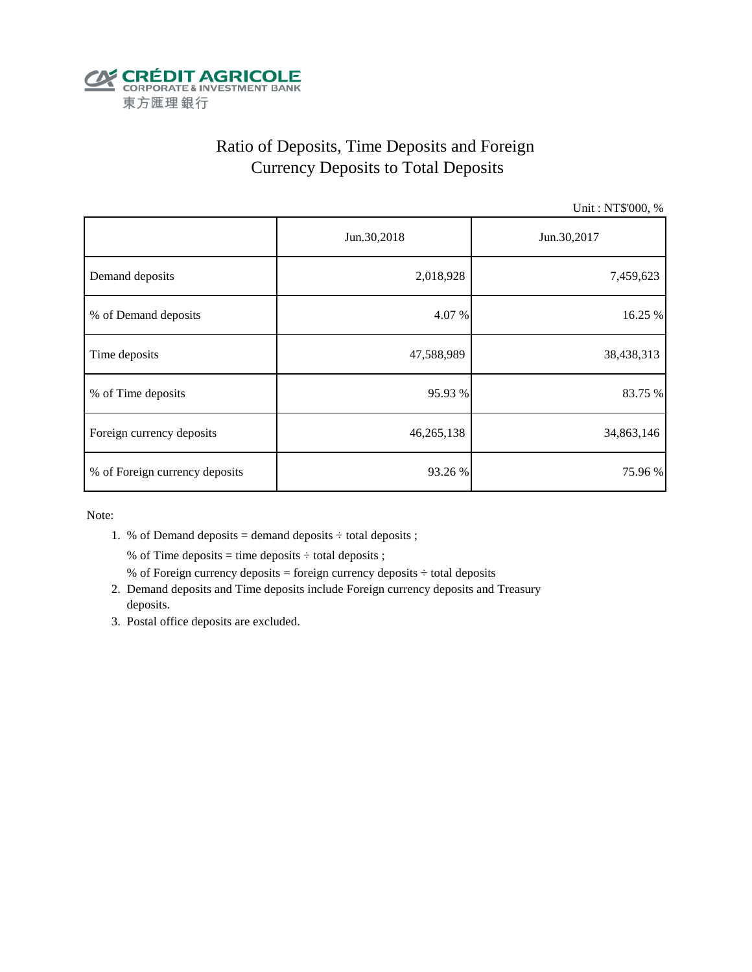

# Ratio of Deposits, Time Deposits and Foreign Currency Deposits to Total Deposits

Unit : NT\$'000, %

|                                | Jun.30,2018 | Jun.30,2017 |  |  |
|--------------------------------|-------------|-------------|--|--|
| Demand deposits                | 2,018,928   | 7,459,623   |  |  |
| % of Demand deposits           | 4.07 %      | 16.25 %     |  |  |
| Time deposits                  | 47,588,989  | 38,438,313  |  |  |
| % of Time deposits             | 95.93 %     | 83.75 %     |  |  |
| Foreign currency deposits      | 46,265,138  | 34,863,146  |  |  |
| % of Foreign currency deposits | 93.26 %     | 75.96%      |  |  |

Note:

1. % of Demand deposits = demand deposits  $\div$  total deposits ;

% of Time deposits = time deposits  $\div$  total deposits ;

- % of Foreign currency deposits = foreign currency deposits  $\div$  total deposits
- 2. Demand deposits and Time deposits include Foreign currency deposits and Treasury deposits.
- 3. Postal office deposits are excluded.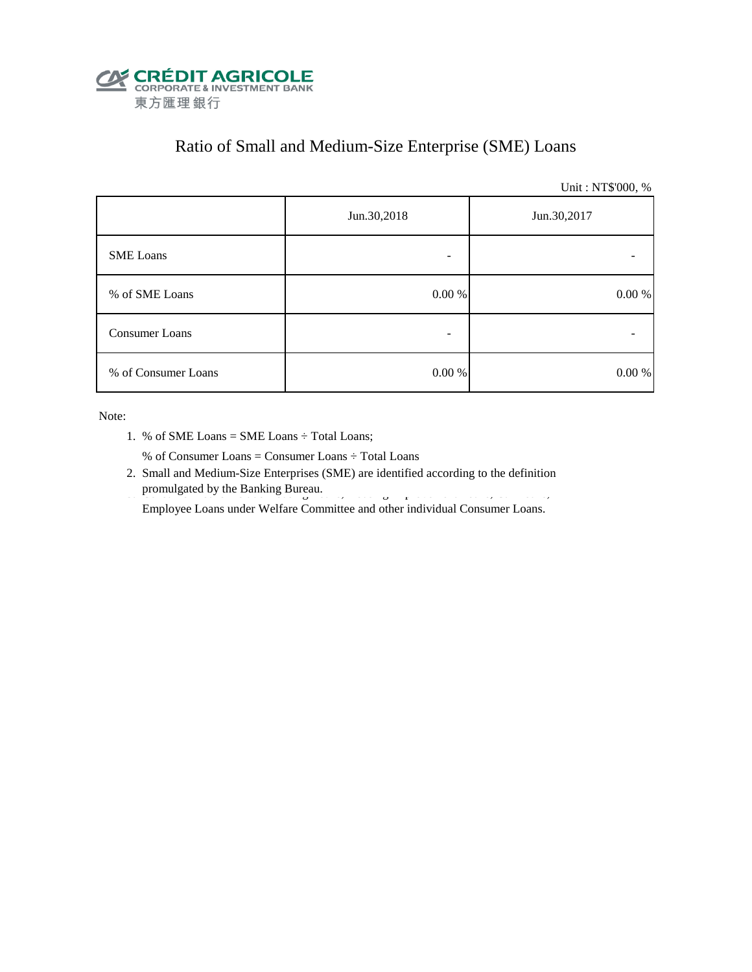

# Ratio of Small and Medium-Size Enterprise (SME) Loans

Unit : NT\$'000, %

|                     | Jun.30,2018 | Jun.30,2017 |
|---------------------|-------------|-------------|
| <b>SME</b> Loans    |             |             |
| % of SME Loans      | 0.00 %      | $0.00\ \%$  |
| Consumer Loans      |             |             |
| % of Consumer Loans | 0.00 %      | 0.00 %      |

Note:

1. % of SME Loans = SME Loans ÷ Total Loans;

% of Consumer Loans = Consumer Loans ÷ Total Loans

 2. Small and Medium-Size Enterprises (SME) are identified according to the definition promulgated by the Banking Bureau.

Employee Loans under Welfare Committee and other individual Consumer Loans.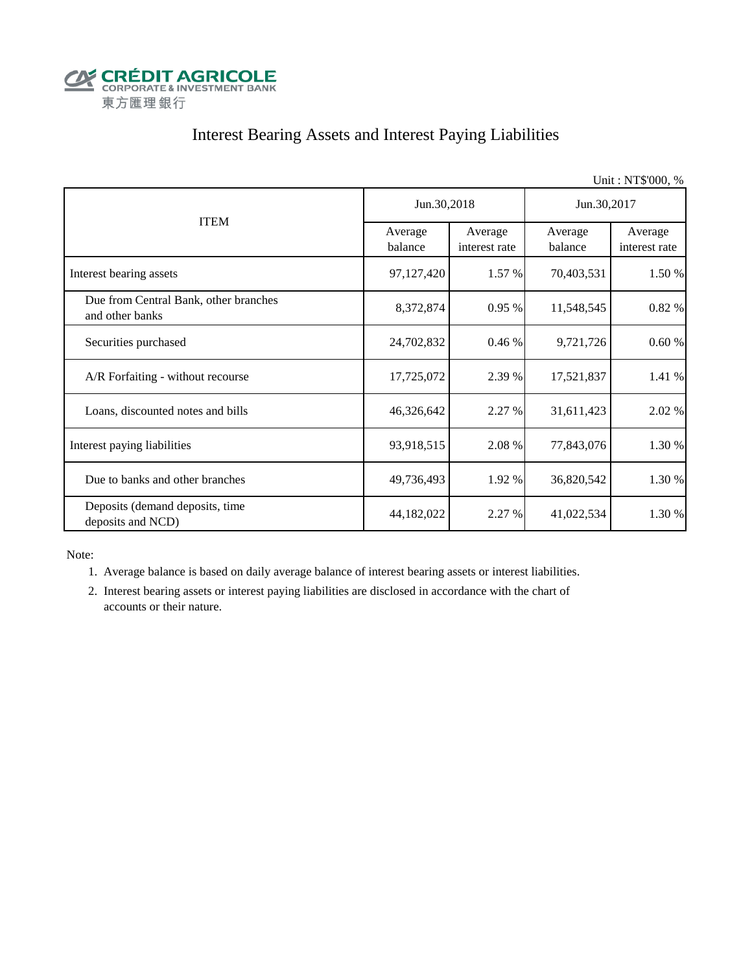

# Interest Bearing Assets and Interest Paying Liabilities

|                                                          |                    |                          |                    | Unit: NT\$'000, %        |  |
|----------------------------------------------------------|--------------------|--------------------------|--------------------|--------------------------|--|
|                                                          | Jun.30,2018        |                          | Jun.30,2017        |                          |  |
| <b>ITEM</b>                                              | Average<br>balance | Average<br>interest rate | Average<br>balance | Average<br>interest rate |  |
| Interest bearing assets                                  | 97,127,420         | 1.57 %                   | 70,403,531         | 1.50 %                   |  |
| Due from Central Bank, other branches<br>and other banks | 8,372,874          | 0.95%                    | 11,548,545         | 0.82 %                   |  |
| Securities purchased                                     | 24,702,832         | 0.46%                    | 9,721,726          | 0.60%                    |  |
| A/R Forfaiting - without recourse                        | 17,725,072         | 2.39 %                   | 17,521,837         | 1.41 %                   |  |
| Loans, discounted notes and bills                        | 46,326,642         | 2.27 %                   | 31,611,423         | 2.02 %                   |  |
| Interest paying liabilities                              | 93,918,515         | 2.08 %                   | 77,843,076         | 1.30 %                   |  |
| Due to banks and other branches                          | 49,736,493         | 1.92 %                   | 36,820,542         | 1.30 %                   |  |
| Deposits (demand deposits, time<br>deposits and NCD)     | 44,182,022         | 2.27 %                   | 41,022,534         | 1.30 %                   |  |

Note:

1. Average balance is based on daily average balance of interest bearing assets or interest liabilities.

 2. Interest bearing assets or interest paying liabilities are disclosed in accordance with the chart of accounts or their nature.